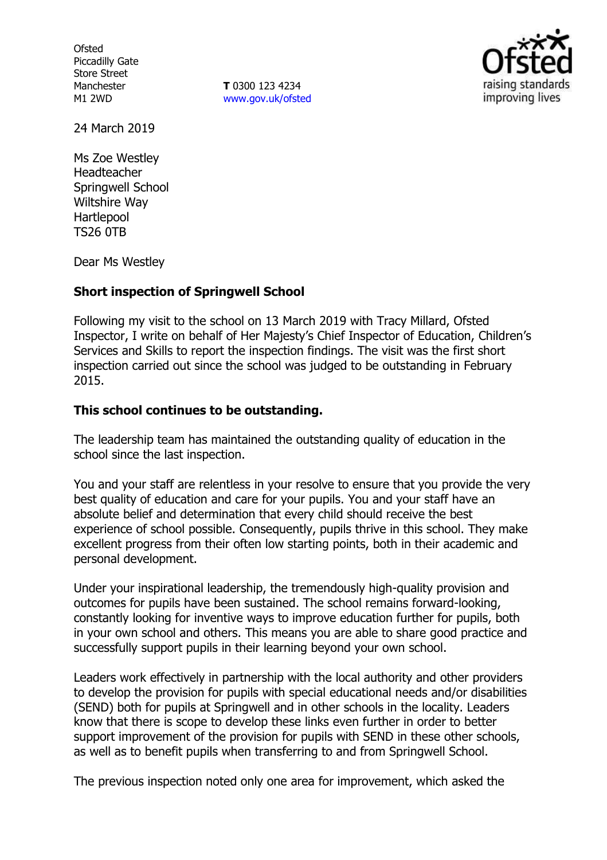**Ofsted** Piccadilly Gate Store Street Manchester M1 2WD

**T** 0300 123 4234 www.gov.uk/ofsted



24 March 2019

Ms Zoe Westley Headteacher Springwell School Wiltshire Way Hartlepool TS26 0TB

Dear Ms Westley

## **Short inspection of Springwell School**

Following my visit to the school on 13 March 2019 with Tracy Millard, Ofsted Inspector, I write on behalf of Her Majesty's Chief Inspector of Education, Children's Services and Skills to report the inspection findings. The visit was the first short inspection carried out since the school was judged to be outstanding in February 2015.

## **This school continues to be outstanding.**

The leadership team has maintained the outstanding quality of education in the school since the last inspection.

You and your staff are relentless in your resolve to ensure that you provide the very best quality of education and care for your pupils. You and your staff have an absolute belief and determination that every child should receive the best experience of school possible. Consequently, pupils thrive in this school. They make excellent progress from their often low starting points, both in their academic and personal development.

Under your inspirational leadership, the tremendously high-quality provision and outcomes for pupils have been sustained. The school remains forward-looking, constantly looking for inventive ways to improve education further for pupils, both in your own school and others. This means you are able to share good practice and successfully support pupils in their learning beyond your own school.

Leaders work effectively in partnership with the local authority and other providers to develop the provision for pupils with special educational needs and/or disabilities (SEND) both for pupils at Springwell and in other schools in the locality. Leaders know that there is scope to develop these links even further in order to better support improvement of the provision for pupils with SEND in these other schools, as well as to benefit pupils when transferring to and from Springwell School.

The previous inspection noted only one area for improvement, which asked the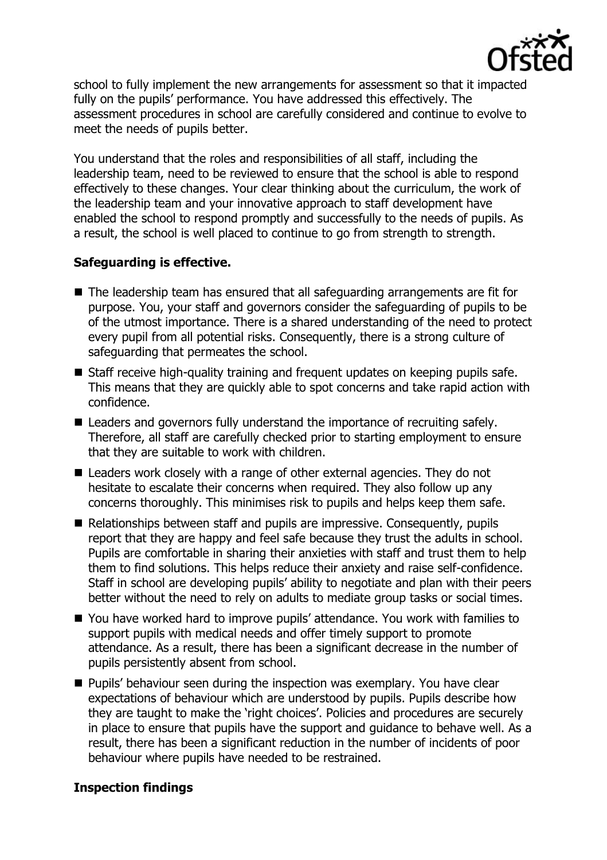

school to fully implement the new arrangements for assessment so that it impacted fully on the pupils' performance. You have addressed this effectively. The assessment procedures in school are carefully considered and continue to evolve to meet the needs of pupils better.

You understand that the roles and responsibilities of all staff, including the leadership team, need to be reviewed to ensure that the school is able to respond effectively to these changes. Your clear thinking about the curriculum, the work of the leadership team and your innovative approach to staff development have enabled the school to respond promptly and successfully to the needs of pupils. As a result, the school is well placed to continue to go from strength to strength.

# **Safeguarding is effective.**

- The leadership team has ensured that all safeguarding arrangements are fit for purpose. You, your staff and governors consider the safeguarding of pupils to be of the utmost importance. There is a shared understanding of the need to protect every pupil from all potential risks. Consequently, there is a strong culture of safeguarding that permeates the school.
- Staff receive high-quality training and frequent updates on keeping pupils safe. This means that they are quickly able to spot concerns and take rapid action with confidence.
- Leaders and governors fully understand the importance of recruiting safely. Therefore, all staff are carefully checked prior to starting employment to ensure that they are suitable to work with children.
- Leaders work closely with a range of other external agencies. They do not hesitate to escalate their concerns when required. They also follow up any concerns thoroughly. This minimises risk to pupils and helps keep them safe.
- Relationships between staff and pupils are impressive. Consequently, pupils report that they are happy and feel safe because they trust the adults in school. Pupils are comfortable in sharing their anxieties with staff and trust them to help them to find solutions. This helps reduce their anxiety and raise self-confidence. Staff in school are developing pupils' ability to negotiate and plan with their peers better without the need to rely on adults to mediate group tasks or social times.
- You have worked hard to improve pupils' attendance. You work with families to support pupils with medical needs and offer timely support to promote attendance. As a result, there has been a significant decrease in the number of pupils persistently absent from school.
- **Pupils' behaviour seen during the inspection was exemplary. You have clear** expectations of behaviour which are understood by pupils. Pupils describe how they are taught to make the 'right choices'. Policies and procedures are securely in place to ensure that pupils have the support and guidance to behave well. As a result, there has been a significant reduction in the number of incidents of poor behaviour where pupils have needed to be restrained.

## **Inspection findings**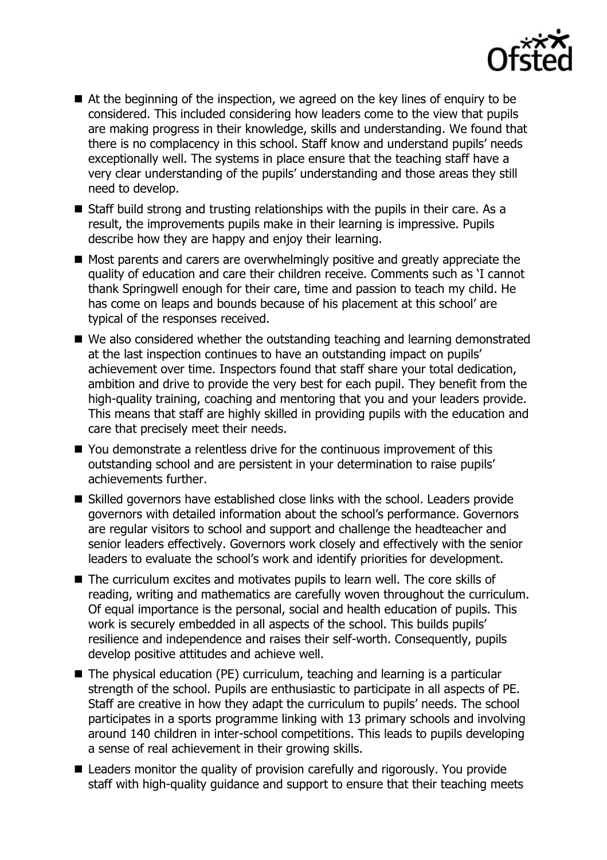

- At the beginning of the inspection, we agreed on the key lines of enguiry to be considered. This included considering how leaders come to the view that pupils are making progress in their knowledge, skills and understanding. We found that there is no complacency in this school. Staff know and understand pupils' needs exceptionally well. The systems in place ensure that the teaching staff have a very clear understanding of the pupils' understanding and those areas they still need to develop.
- Staff build strong and trusting relationships with the pupils in their care. As a result, the improvements pupils make in their learning is impressive. Pupils describe how they are happy and enjoy their learning.
- Most parents and carers are overwhelmingly positive and greatly appreciate the quality of education and care their children receive. Comments such as 'I cannot thank Springwell enough for their care, time and passion to teach my child. He has come on leaps and bounds because of his placement at this school' are typical of the responses received.
- We also considered whether the outstanding teaching and learning demonstrated at the last inspection continues to have an outstanding impact on pupils' achievement over time. Inspectors found that staff share your total dedication, ambition and drive to provide the very best for each pupil. They benefit from the high-quality training, coaching and mentoring that you and your leaders provide. This means that staff are highly skilled in providing pupils with the education and care that precisely meet their needs.
- You demonstrate a relentless drive for the continuous improvement of this outstanding school and are persistent in your determination to raise pupils' achievements further.
- Skilled governors have established close links with the school. Leaders provide governors with detailed information about the school's performance. Governors are regular visitors to school and support and challenge the headteacher and senior leaders effectively. Governors work closely and effectively with the senior leaders to evaluate the school's work and identify priorities for development.
- The curriculum excites and motivates pupils to learn well. The core skills of reading, writing and mathematics are carefully woven throughout the curriculum. Of equal importance is the personal, social and health education of pupils. This work is securely embedded in all aspects of the school. This builds pupils' resilience and independence and raises their self-worth. Consequently, pupils develop positive attitudes and achieve well.
- The physical education (PE) curriculum, teaching and learning is a particular strength of the school. Pupils are enthusiastic to participate in all aspects of PE. Staff are creative in how they adapt the curriculum to pupils' needs. The school participates in a sports programme linking with 13 primary schools and involving around 140 children in inter-school competitions. This leads to pupils developing a sense of real achievement in their growing skills.
- Leaders monitor the quality of provision carefully and rigorously. You provide staff with high-quality guidance and support to ensure that their teaching meets